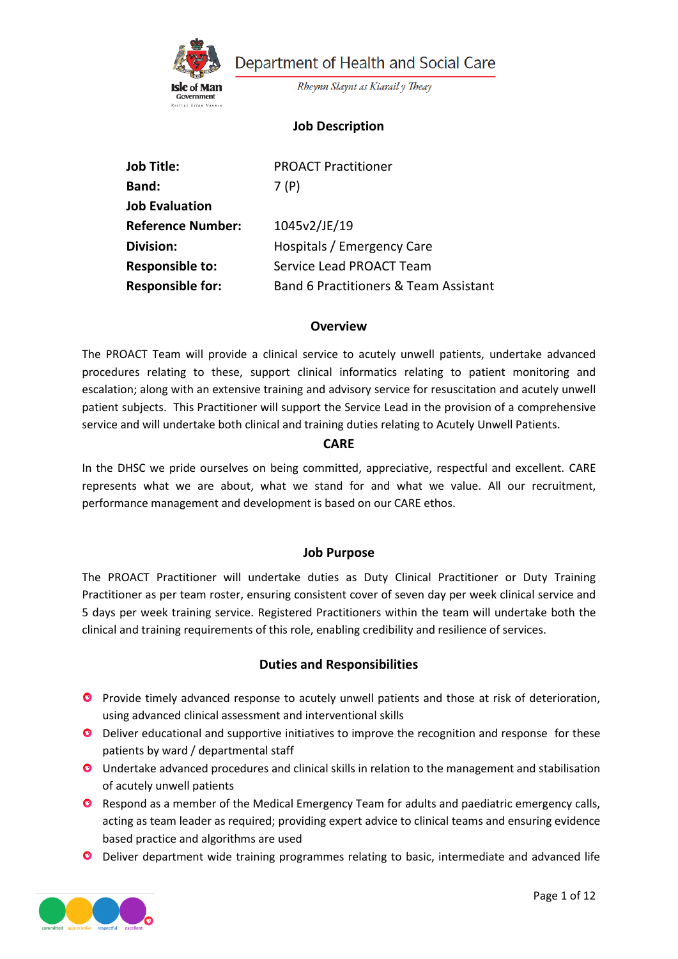

Department of Health and Social Care

Rheynn Slaynt as Kiarail y Theay

# **Job Description**

| <b>Job Title:</b>        | <b>PROACT Practitioner</b>            |
|--------------------------|---------------------------------------|
| <b>Band:</b>             | 7(P)                                  |
| <b>Job Evaluation</b>    |                                       |
| <b>Reference Number:</b> | 1045v2/JE/19                          |
| <b>Division:</b>         | Hospitals / Emergency Care            |
| <b>Responsible to:</b>   | Service Lead PROACT Team              |
| <b>Responsible for:</b>  | Band 6 Practitioners & Team Assistant |

#### **Overview**

The PROACT Team will provide a clinical service to acutely unwell patients, undertake advanced procedures relating to these, support clinical informatics relating to patient monitoring and escalation; along with an extensive training and advisory service for resuscitation and acutely unwell patient subjects. This Practitioner will support the Service Lead in the provision of a comprehensive service and will undertake both clinical and training duties relating to Acutely Unwell Patients.

#### **CARE**

In the DHSC we pride ourselves on being committed, appreciative, respectful and excellent. CARE represents what we are about, what we stand for and what we value. All our recruitment, performance management and development is based on our CARE ethos.

#### **Job Purpose**

The PROACT Practitioner will undertake duties as Duty Clinical Practitioner or Duty Training Practitioner as per team roster, ensuring consistent cover of seven day per week clinical service and 5 days per week training service. Registered Practitioners within the team will undertake both the clinical and training requirements of this role, enabling credibility and resilience of services.

#### **Duties and Responsibilities**

- **O** Provide timely advanced response to acutely unwell patients and those at risk of deterioration, using advanced clinical assessment and interventional skills
- **O** Deliver educational and supportive initiatives to improve the recognition and response for these patients by ward / departmental staff
- **O** Undertake advanced procedures and clinical skills in relation to the management and stabilisation of acutely unwell patients
- **O** Respond as a member of the Medical Emergency Team for adults and paediatric emergency calls, acting as team leader as required; providing expert advice to clinical teams and ensuring evidence based practice and algorithms are used
- **O** Deliver department wide training programmes relating to basic, intermediate and advanced life

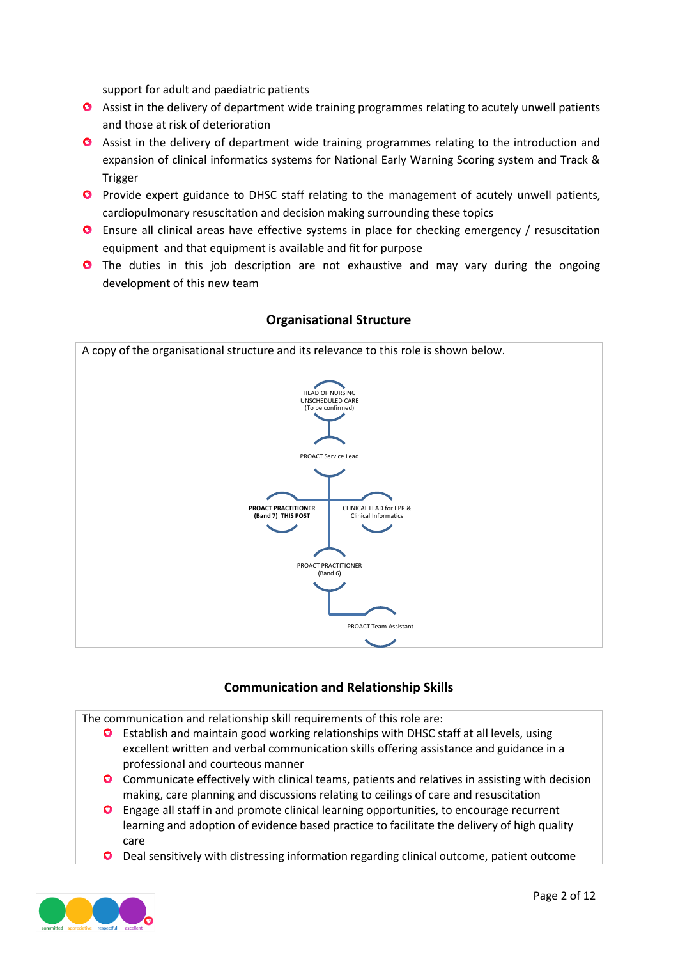support for adult and paediatric patients

- **O** Assist in the delivery of department wide training programmes relating to acutely unwell patients and those at risk of deterioration
- Assist in the delivery of department wide training programmes relating to the introduction and expansion of clinical informatics systems for National Early Warning Scoring system and Track & Trigger
- **O** Provide expert guidance to DHSC staff relating to the management of acutely unwell patients, cardiopulmonary resuscitation and decision making surrounding these topics
- Ensure all clinical areas have effective systems in place for checking emergency / resuscitation equipment and that equipment is available and fit for purpose
- **O** The duties in this job description are not exhaustive and may vary during the ongoing development of this new team



### **Organisational Structure**

## **Communication and Relationship Skills**

The communication and relationship skill requirements of this role are:

- $\bullet$ Establish and maintain good working relationships with DHSC staff at all levels, using excellent written and verbal communication skills offering assistance and guidance in a professional and courteous manner
- Communicate effectively with clinical teams, patients and relatives in assisting with decision making, care planning and discussions relating to ceilings of care and resuscitation
- Engage all staff in and promote clinical learning opportunities, to encourage recurrent learning and adoption of evidence based practice to facilitate the delivery of high quality care
- $\bullet$ Deal sensitively with distressing information regarding clinical outcome, patient outcome

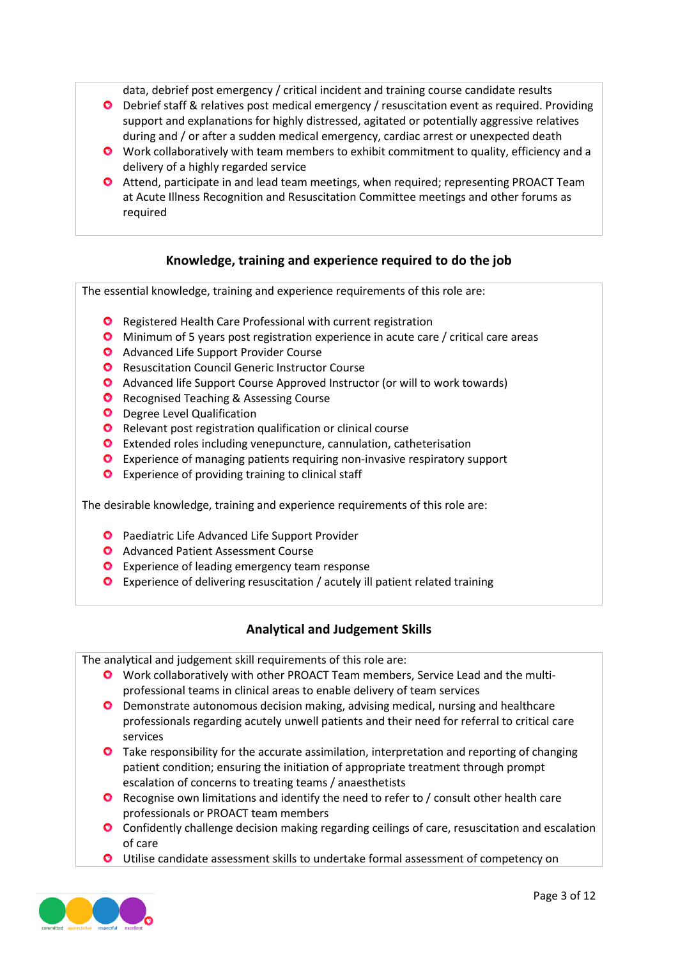data, debrief post emergency / critical incident and training course candidate results

- Debrief staff & relatives post medical emergency / resuscitation event as required. Providing support and explanations for highly distressed, agitated or potentially aggressive relatives during and / or after a sudden medical emergency, cardiac arrest or unexpected death
- Work collaboratively with team members to exhibit commitment to quality, efficiency and a delivery of a highly regarded service
- Attend, participate in and lead team meetings, when required; representing PROACT Team at Acute Illness Recognition and Resuscitation Committee meetings and other forums as required

### **Knowledge, training and experience required to do the job**

The essential knowledge, training and experience requirements of this role are:

- **O** Registered Health Care Professional with current registration
- Minimum of 5 years post registration experience in acute care / critical care areas
- **Q** Advanced Life Support Provider Course
- **O** Resuscitation Council Generic Instructor Course
- Advanced life Support Course Approved Instructor (or will to work towards)
- **O** Recognised Teaching & Assessing Course
- **O** Degree Level Qualification
- **O** Relevant post registration qualification or clinical course
- Extended roles including venepuncture, cannulation, catheterisation
- Experience of managing patients requiring non-invasive respiratory support
- **O** Experience of providing training to clinical staff

The desirable knowledge, training and experience requirements of this role are:

- **O** Paediatric Life Advanced Life Support Provider
- **O** Advanced Patient Assessment Course
- **O** Experience of leading emergency team response
- Experience of delivering resuscitation / acutely ill patient related training

## **Analytical and Judgement Skills**

The analytical and judgement skill requirements of this role are:

- Work collaboratively with other PROACT Team members, Service Lead and the multiprofessional teams in clinical areas to enable delivery of team services
- **O** Demonstrate autonomous decision making, advising medical, nursing and healthcare professionals regarding acutely unwell patients and their need for referral to critical care services
- **O** Take responsibility for the accurate assimilation, interpretation and reporting of changing patient condition; ensuring the initiation of appropriate treatment through prompt escalation of concerns to treating teams / anaesthetists
- **O** Recognise own limitations and identify the need to refer to / consult other health care professionals or PROACT team members
- **O** Confidently challenge decision making regarding ceilings of care, resuscitation and escalation of care
- Utilise candidate assessment skills to undertake formal assessment of competency on

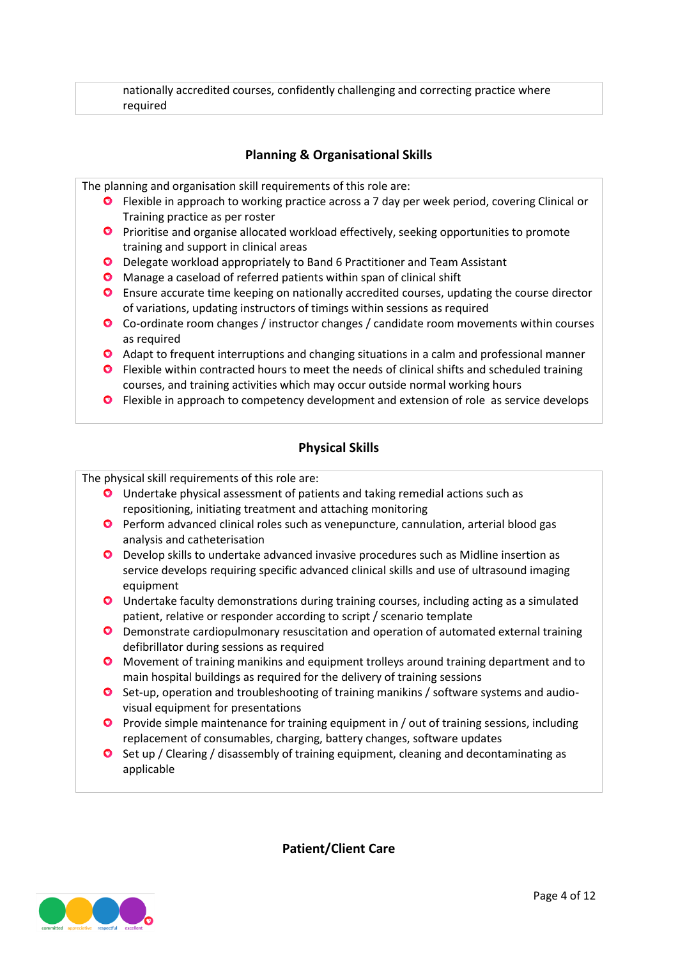nationally accredited courses, confidently challenging and correcting practice where required

### **Planning & Organisational Skills**

The planning and organisation skill requirements of this role are:

- Flexible in approach to working practice across a 7 day per week period, covering Clinical or Training practice as per roster
- **P** Prioritise and organise allocated workload effectively, seeking opportunities to promote training and support in clinical areas
- O Delegate workload appropriately to Band 6 Practitioner and Team Assistant
- **O** Manage a caseload of referred patients within span of clinical shift
- Ensure accurate time keeping on nationally accredited courses, updating the course director of variations, updating instructors of timings within sessions as required
- Co-ordinate room changes / instructor changes / candidate room movements within courses as required
- Adapt to frequent interruptions and changing situations in a calm and professional manner
- **O** Flexible within contracted hours to meet the needs of clinical shifts and scheduled training courses, and training activities which may occur outside normal working hours
- **O** Flexible in approach to competency development and extension of role as service develops

#### **Physical Skills**

The physical skill requirements of this role are:

- Undertake physical assessment of patients and taking remedial actions such as repositioning, initiating treatment and attaching monitoring
- **Perform advanced clinical roles such as venepuncture, cannulation, arterial blood gas** analysis and catheterisation
- Develop skills to undertake advanced invasive procedures such as Midline insertion as service develops requiring specific advanced clinical skills and use of ultrasound imaging equipment
- Undertake faculty demonstrations during training courses, including acting as a simulated patient, relative or responder according to script / scenario template
- **O** Demonstrate cardiopulmonary resuscitation and operation of automated external training defibrillator during sessions as required
- **O** Movement of training manikins and equipment trolleys around training department and to main hospital buildings as required for the delivery of training sessions
- Set-up, operation and troubleshooting of training manikins / software systems and audiovisual equipment for presentations
- **Provide simple maintenance for training equipment in / out of training sessions, including** replacement of consumables, charging, battery changes, software updates
- **O** Set up / Clearing / disassembly of training equipment, cleaning and decontaminating as applicable

**Patient/Client Care**

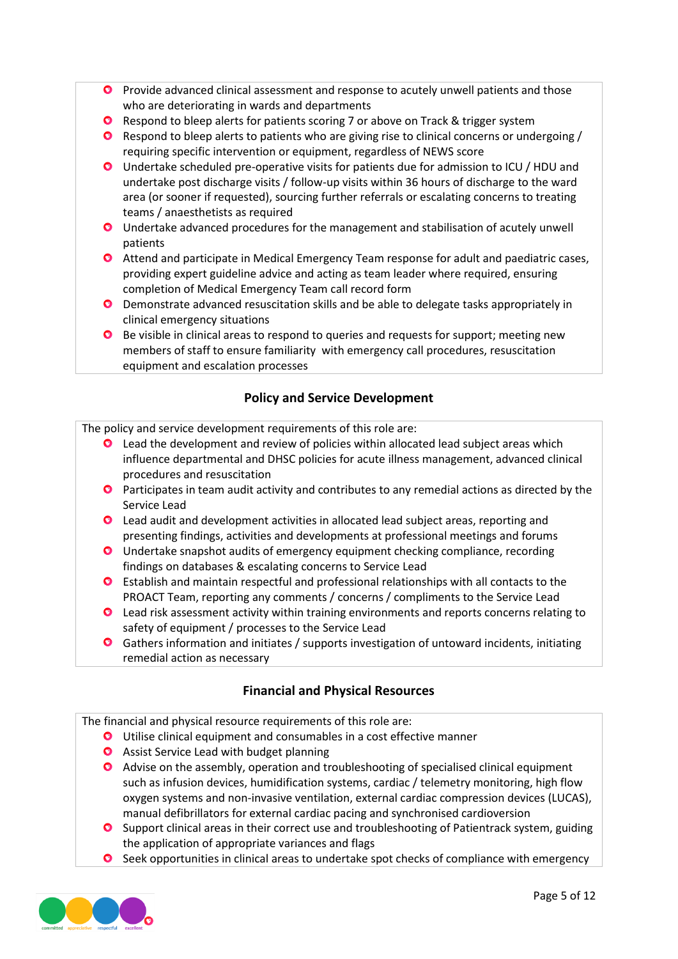- **P** Provide advanced clinical assessment and response to acutely unwell patients and those who are deteriorating in wards and departments
- **O** Respond to bleep alerts for patients scoring 7 or above on Track & trigger system
- **O** Respond to bleep alerts to patients who are giving rise to clinical concerns or undergoing / requiring specific intervention or equipment, regardless of NEWS score
- Undertake scheduled pre-operative visits for patients due for admission to ICU / HDU and undertake post discharge visits / follow-up visits within 36 hours of discharge to the ward area (or sooner if requested), sourcing further referrals or escalating concerns to treating teams / anaesthetists as required
- Undertake advanced procedures for the management and stabilisation of acutely unwell patients
- Attend and participate in Medical Emergency Team response for adult and paediatric cases, providing expert guideline advice and acting as team leader where required, ensuring completion of Medical Emergency Team call record form
- Demonstrate advanced resuscitation skills and be able to delegate tasks appropriately in clinical emergency situations
- **O** Be visible in clinical areas to respond to queries and requests for support; meeting new members of staff to ensure familiarity with emergency call procedures, resuscitation equipment and escalation processes

# **Policy and Service Development**

The policy and service development requirements of this role are:

- **O** Lead the development and review of policies within allocated lead subject areas which influence departmental and DHSC policies for acute illness management, advanced clinical procedures and resuscitation
- **O** Participates in team audit activity and contributes to any remedial actions as directed by the Service Lead
- Lead audit and development activities in allocated lead subject areas, reporting and presenting findings, activities and developments at professional meetings and forums
- Undertake snapshot audits of emergency equipment checking compliance, recording findings on databases & escalating concerns to Service Lead
- Establish and maintain respectful and professional relationships with all contacts to the PROACT Team, reporting any comments / concerns / compliments to the Service Lead
- **O** Lead risk assessment activity within training environments and reports concerns relating to safety of equipment / processes to the Service Lead
- Gathers information and initiates / supports investigation of untoward incidents, initiating remedial action as necessary

# **Financial and Physical Resources**

The financial and physical resource requirements of this role are:

- Utilise clinical equipment and consumables in a cost effective manner
- **O** Assist Service Lead with budget planning
- Advise on the assembly, operation and troubleshooting of specialised clinical equipment such as infusion devices, humidification systems, cardiac / telemetry monitoring, high flow oxygen systems and non-invasive ventilation, external cardiac compression devices (LUCAS), manual defibrillators for external cardiac pacing and synchronised cardioversion
- **O** Support clinical areas in their correct use and troubleshooting of Patientrack system, guiding the application of appropriate variances and flags
- **O** Seek opportunities in clinical areas to undertake spot checks of compliance with emergency

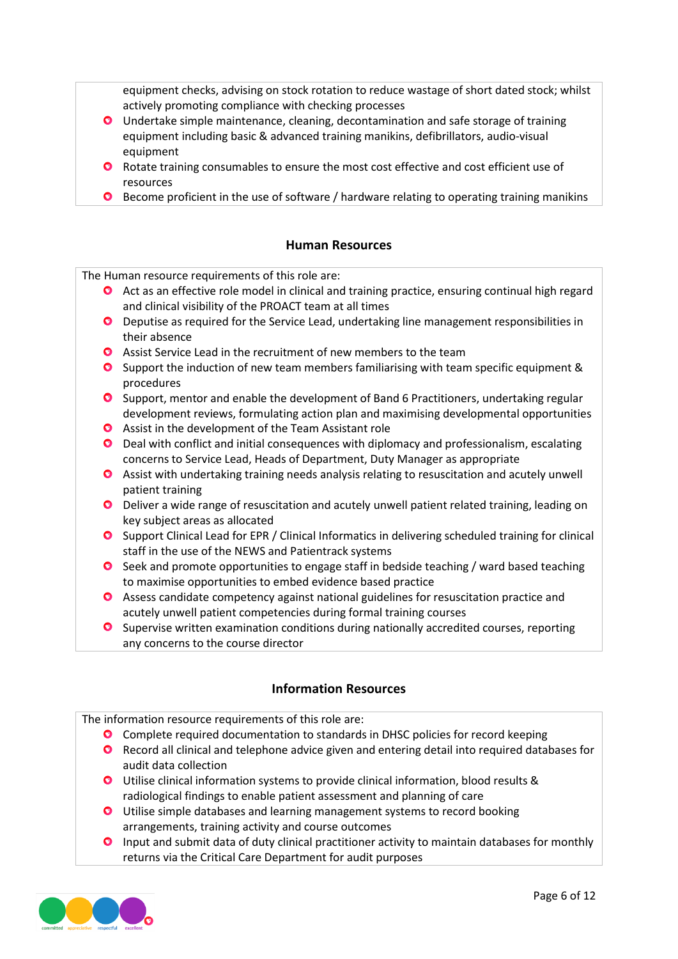equipment checks, advising on stock rotation to reduce wastage of short dated stock; whilst actively promoting compliance with checking processes

- Undertake simple maintenance, cleaning, decontamination and safe storage of training equipment including basic & advanced training manikins, defibrillators, audio-visual equipment
- **O** Rotate training consumables to ensure the most cost effective and cost efficient use of resources
- **O** Become proficient in the use of software / hardware relating to operating training manikins

## **Human Resources**

The Human resource requirements of this role are:

- **O** Act as an effective role model in clinical and training practice, ensuring continual high regard and clinical visibility of the PROACT team at all times
- Deputise as required for the Service Lead, undertaking line management responsibilities in their absence
- Assist Service Lead in the recruitment of new members to the team
- **O** Support the induction of new team members familiarising with team specific equipment & procedures
- **O** Support, mentor and enable the development of Band 6 Practitioners, undertaking regular development reviews, formulating action plan and maximising developmental opportunities
- Assist in the development of the Team Assistant role
- Deal with conflict and initial consequences with diplomacy and professionalism, escalating concerns to Service Lead, Heads of Department, Duty Manager as appropriate
- Assist with undertaking training needs analysis relating to resuscitation and acutely unwell patient training
- Deliver a wide range of resuscitation and acutely unwell patient related training, leading on key subject areas as allocated
- **O** Support Clinical Lead for EPR / Clinical Informatics in delivering scheduled training for clinical staff in the use of the NEWS and Patientrack systems
- **O** Seek and promote opportunities to engage staff in bedside teaching / ward based teaching to maximise opportunities to embed evidence based practice
- Assess candidate competency against national guidelines for resuscitation practice and acutely unwell patient competencies during formal training courses
- **O** Supervise written examination conditions during nationally accredited courses, reporting any concerns to the course director

## **Information Resources**

The information resource requirements of this role are:

- Complete required documentation to standards in DHSC policies for record keeping
- **O** Record all clinical and telephone advice given and entering detail into required databases for audit data collection
- Utilise clinical information systems to provide clinical information, blood results & radiological findings to enable patient assessment and planning of care
- Utilise simple databases and learning management systems to record booking arrangements, training activity and course outcomes
- $\bullet$ Input and submit data of duty clinical practitioner activity to maintain databases for monthly returns via the Critical Care Department for audit purposes

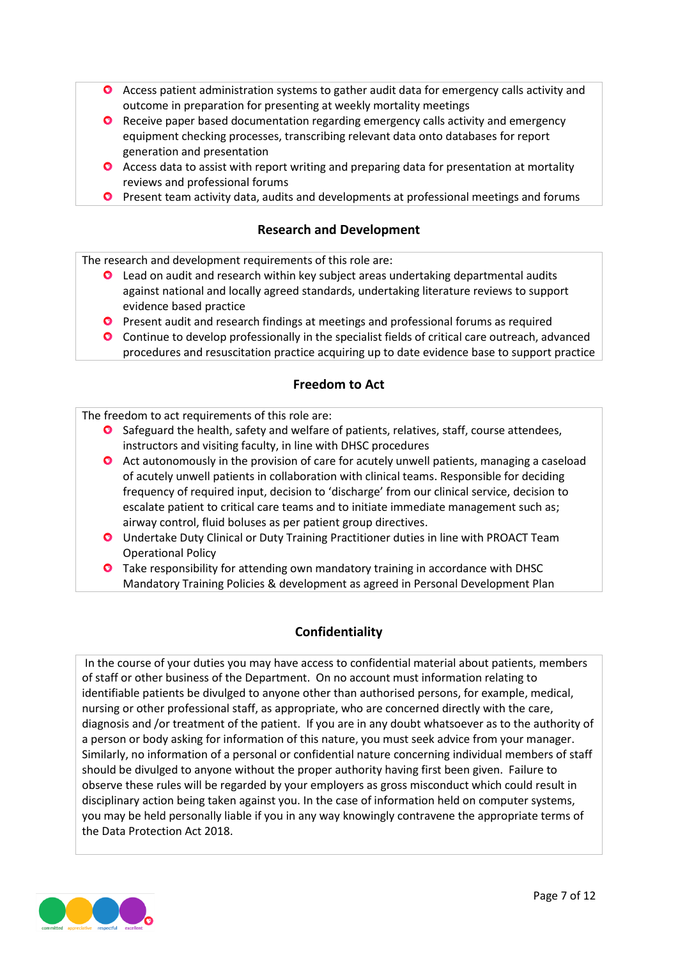- **O** Access patient administration systems to gather audit data for emergency calls activity and outcome in preparation for presenting at weekly mortality meetings
- Receive paper based documentation regarding emergency calls activity and emergency equipment checking processes, transcribing relevant data onto databases for report generation and presentation
- **O** Access data to assist with report writing and preparing data for presentation at mortality reviews and professional forums
- **O** Present team activity data, audits and developments at professional meetings and forums

#### **Research and Development**

The research and development requirements of this role are:

- **O** Lead on audit and research within key subject areas undertaking departmental audits against national and locally agreed standards, undertaking literature reviews to support evidence based practice
- **Present audit and research findings at meetings and professional forums as required**
- Continue to develop professionally in the specialist fields of critical care outreach, advanced procedures and resuscitation practice acquiring up to date evidence base to support practice

### **Freedom to Act**

The freedom to act requirements of this role are:

- Safeguard the health, safety and welfare of patients, relatives, staff, course attendees, instructors and visiting faculty, in line with DHSC procedures
- **O** Act autonomously in the provision of care for acutely unwell patients, managing a caseload of acutely unwell patients in collaboration with clinical teams. Responsible for deciding frequency of required input, decision to 'discharge' from our clinical service, decision to escalate patient to critical care teams and to initiate immediate management such as; airway control, fluid boluses as per patient group directives.
- Undertake Duty Clinical or Duty Training Practitioner duties in line with PROACT Team Operational Policy
- **O** Take responsibility for attending own mandatory training in accordance with DHSC Mandatory Training Policies & development as agreed in Personal Development Plan

#### **Confidentiality**

In the course of your duties you may have access to confidential material about patients, members of staff or other business of the Department. On no account must information relating to identifiable patients be divulged to anyone other than authorised persons, for example, medical, nursing or other professional staff, as appropriate, who are concerned directly with the care, diagnosis and /or treatment of the patient. If you are in any doubt whatsoever as to the authority of a person or body asking for information of this nature, you must seek advice from your manager. Similarly, no information of a personal or confidential nature concerning individual members of staff should be divulged to anyone without the proper authority having first been given. Failure to observe these rules will be regarded by your employers as gross misconduct which could result in disciplinary action being taken against you. In the case of information held on computer systems, you may be held personally liable if you in any way knowingly contravene the appropriate terms of the Data Protection Act 2018.

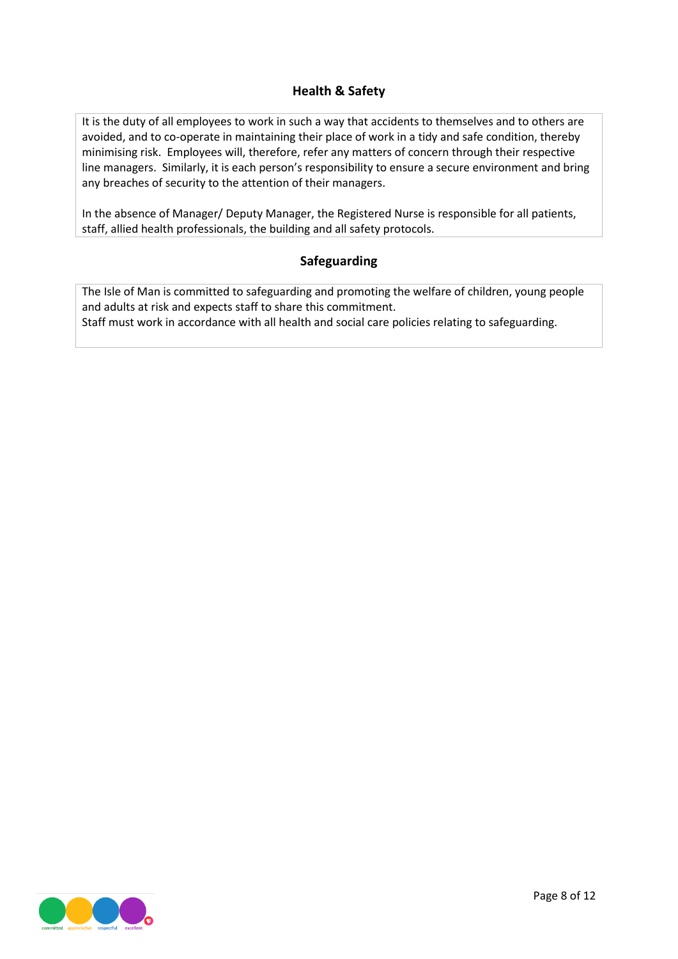## **Health & Safety**

It is the duty of all employees to work in such a way that accidents to themselves and to others are avoided, and to co-operate in maintaining their place of work in a tidy and safe condition, thereby minimising risk. Employees will, therefore, refer any matters of concern through their respective line managers. Similarly, it is each person's responsibility to ensure a secure environment and bring any breaches of security to the attention of their managers.

In the absence of Manager/ Deputy Manager, the Registered Nurse is responsible for all patients, staff, allied health professionals, the building and all safety protocols.

### **Safeguarding**

The Isle of Man is committed to safeguarding and promoting the welfare of children, young people and adults at risk and expects staff to share this commitment. Staff must work in accordance with all health and social care policies relating to safeguarding.

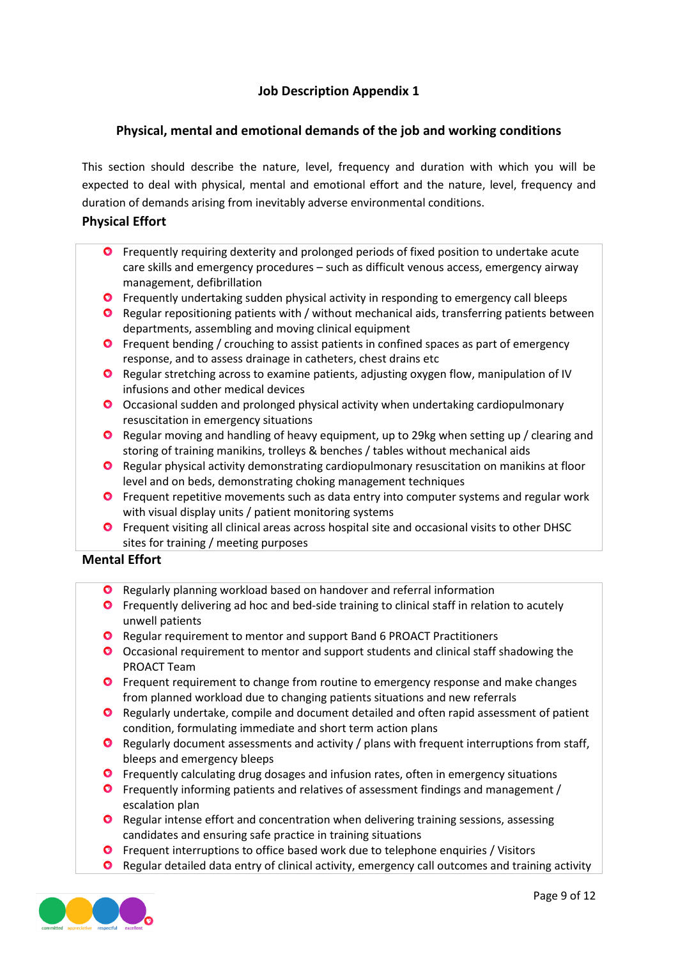# **Job Description Appendix 1**

## **Physical, mental and emotional demands of the job and working conditions**

This section should describe the nature, level, frequency and duration with which you will be expected to deal with physical, mental and emotional effort and the nature, level, frequency and duration of demands arising from inevitably adverse environmental conditions.

#### **Physical Effort**

- **O** Frequently requiring dexterity and prolonged periods of fixed position to undertake acute care skills and emergency procedures – such as difficult venous access, emergency airway management, defibrillation
- **O** Frequently undertaking sudden physical activity in responding to emergency call bleeps
- Regular repositioning patients with / without mechanical aids, transferring patients between departments, assembling and moving clinical equipment
- **O** Frequent bending / crouching to assist patients in confined spaces as part of emergency response, and to assess drainage in catheters, chest drains etc
- Regular stretching across to examine patients, adjusting oxygen flow, manipulation of IV infusions and other medical devices
- O Occasional sudden and prolonged physical activity when undertaking cardiopulmonary resuscitation in emergency situations
- **O** Regular moving and handling of heavy equipment, up to 29kg when setting up / clearing and storing of training manikins, trolleys & benches / tables without mechanical aids
- Regular physical activity demonstrating cardiopulmonary resuscitation on manikins at floor level and on beds, demonstrating choking management techniques
- **O** Frequent repetitive movements such as data entry into computer systems and regular work with visual display units / patient monitoring systems
- **O** Frequent visiting all clinical areas across hospital site and occasional visits to other DHSC sites for training / meeting purposes

#### **Mental Effort**

- **O** Regularly planning workload based on handover and referral information
- **O** Frequently delivering ad hoc and bed-side training to clinical staff in relation to acutely unwell patients
- **O** Regular requirement to mentor and support Band 6 PROACT Practitioners
- Occasional requirement to mentor and support students and clinical staff shadowing the PROACT Team
- **O** Frequent requirement to change from routine to emergency response and make changes from planned workload due to changing patients situations and new referrals
- **O** Regularly undertake, compile and document detailed and often rapid assessment of patient condition, formulating immediate and short term action plans
- **O** Regularly document assessments and activity / plans with frequent interruptions from staff, bleeps and emergency bleeps
- **O** Frequently calculating drug dosages and infusion rates, often in emergency situations
- Frequently informing patients and relatives of assessment findings and management / escalation plan
- **O** Regular intense effort and concentration when delivering training sessions, assessing candidates and ensuring safe practice in training situations
- **O** Frequent interruptions to office based work due to telephone enquiries / Visitors
- **O** Regular detailed data entry of clinical activity, emergency call outcomes and training activity

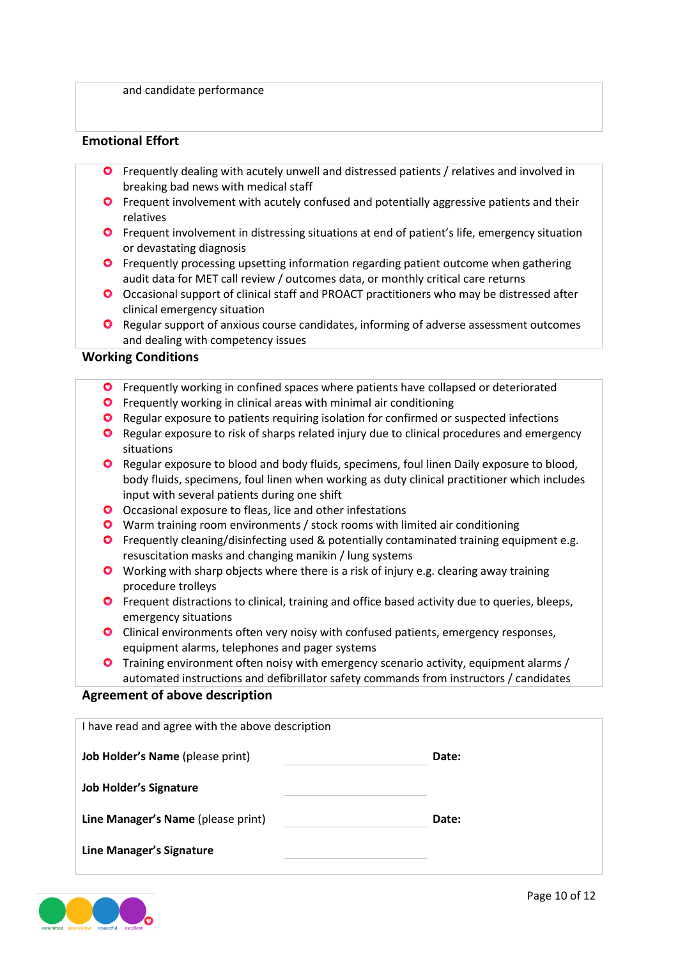and candidate performance

#### **Emotional Effort**

- Frequently dealing with acutely unwell and distressed patients / relatives and involved in breaking bad news with medical staff
- **O** Frequent involvement with acutely confused and potentially aggressive patients and their relatives
- **O** Frequent involvement in distressing situations at end of patient's life, emergency situation or devastating diagnosis
- **O** Frequently processing upsetting information regarding patient outcome when gathering audit data for MET call review / outcomes data, or monthly critical care returns
- Occasional support of clinical staff and PROACT practitioners who may be distressed after clinical emergency situation
- **O** Regular support of anxious course candidates, informing of adverse assessment outcomes and dealing with competency issues

#### **Working Conditions**

- **O** Frequently working in confined spaces where patients have collapsed or deteriorated
- **O** Frequently working in clinical areas with minimal air conditioning
- **O** Regular exposure to patients requiring isolation for confirmed or suspected infections
- **O** Regular exposure to risk of sharps related injury due to clinical procedures and emergency situations
- **O** Regular exposure to blood and body fluids, specimens, foul linen Daily exposure to blood, body fluids, specimens, foul linen when working as duty clinical practitioner which includes input with several patients during one shift
- O Occasional exposure to fleas, lice and other infestations
- Warm training room environments / stock rooms with limited air conditioning
- **O** Frequently cleaning/disinfecting used & potentially contaminated training equipment e.g. resuscitation masks and changing manikin / lung systems
- Working with sharp objects where there is a risk of injury e.g. clearing away training procedure trolleys
- **O** Frequent distractions to clinical, training and office based activity due to queries, bleeps, emergency situations
- **O** Clinical environments often very noisy with confused patients, emergency responses, equipment alarms, telephones and pager systems
- Training environment often noisy with emergency scenario activity, equipment alarms / automated instructions and defibrillator safety commands from instructors / candidates

#### **Agreement of above description**

| I have read and agree with the above description |       |  |  |  |
|--------------------------------------------------|-------|--|--|--|
| <b>Job Holder's Name</b> (please print)          | Date: |  |  |  |
| <b>Job Holder's Signature</b>                    |       |  |  |  |
| Line Manager's Name (please print)               | Date: |  |  |  |
| <b>Line Manager's Signature</b>                  |       |  |  |  |

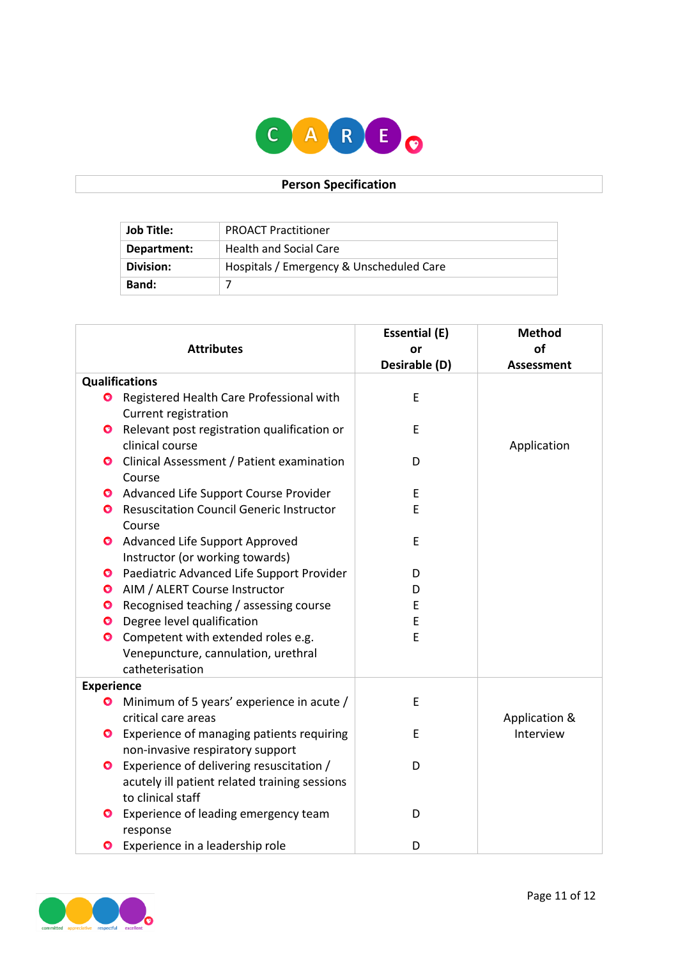

# **Person Specification**

| Job Title:  | <b>PROACT Practitioner</b>               |
|-------------|------------------------------------------|
| Department: | <b>Health and Social Care</b>            |
| Division:   | Hospitals / Emergency & Unscheduled Care |
| Band:       |                                          |

|                   |                                                                                                                | <b>Essential (E)</b> | <b>Method</b>     |
|-------------------|----------------------------------------------------------------------------------------------------------------|----------------------|-------------------|
| <b>Attributes</b> |                                                                                                                | or                   | of                |
|                   |                                                                                                                | Desirable (D)        | <b>Assessment</b> |
|                   | <b>Qualifications</b>                                                                                          |                      |                   |
| $\bullet$         | Registered Health Care Professional with<br>Current registration                                               | E                    |                   |
|                   | Relevant post registration qualification or<br>clinical course                                                 | E                    | Application       |
| O.                | Clinical Assessment / Patient examination<br>Course                                                            | D                    |                   |
|                   | <b>O</b> Advanced Life Support Course Provider                                                                 | E                    |                   |
| $\bullet$         | <b>Resuscitation Council Generic Instructor</b><br>Course                                                      | E                    |                   |
| $\bullet$         | Advanced Life Support Approved<br>Instructor (or working towards)                                              | E                    |                   |
| $\bullet$         | Paediatric Advanced Life Support Provider                                                                      | D                    |                   |
| $\bullet$         | AIM / ALERT Course Instructor                                                                                  | D                    |                   |
| $\bullet$         | Recognised teaching / assessing course                                                                         | E                    |                   |
| $\bullet$         | Degree level qualification                                                                                     | E                    |                   |
| $\bullet$         | Competent with extended roles e.g.<br>Venepuncture, cannulation, urethral<br>catheterisation                   | E                    |                   |
| <b>Experience</b> |                                                                                                                |                      |                   |
| Ø                 | Minimum of 5 years' experience in acute /<br>critical care areas                                               | E                    | Application &     |
|                   | <b>O</b> Experience of managing patients requiring<br>non-invasive respiratory support                         | E                    | Interview         |
| $\bullet$         | Experience of delivering resuscitation /<br>acutely ill patient related training sessions<br>to clinical staff | D                    |                   |
| $\bullet$         | Experience of leading emergency team<br>response                                                               | D                    |                   |
| $\bullet$         | Experience in a leadership role                                                                                | D                    |                   |